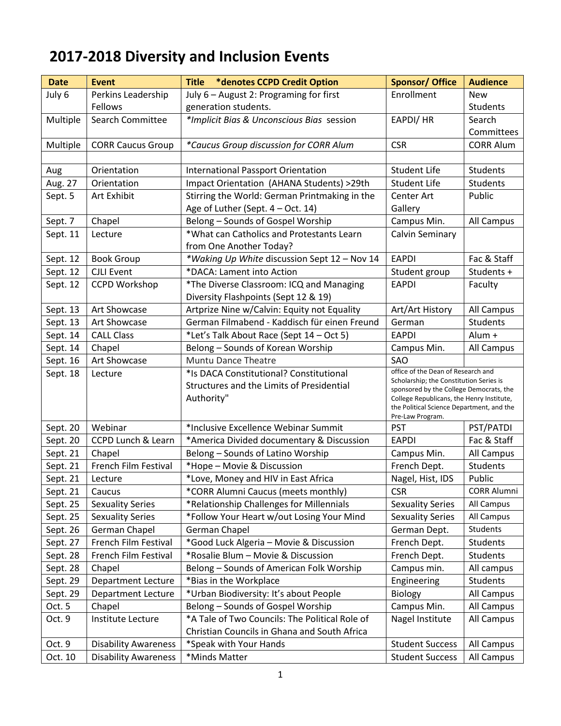## **2017-2018 Diversity and Inclusion Events**

| <b>Date</b> | Event                         | <b>Title *denotes CCPD Credit Option</b>                                                           | <b>Sponsor/ Office</b>                                                                                                                                                                                                                 | <b>Audience</b>    |
|-------------|-------------------------------|----------------------------------------------------------------------------------------------------|----------------------------------------------------------------------------------------------------------------------------------------------------------------------------------------------------------------------------------------|--------------------|
| July 6      | Perkins Leadership            | July 6 - August 2: Programing for first                                                            | Enrollment                                                                                                                                                                                                                             | <b>New</b>         |
|             | <b>Fellows</b>                | generation students.                                                                               |                                                                                                                                                                                                                                        | Students           |
| Multiple    | <b>Search Committee</b>       | *Implicit Bias & Unconscious Bias session                                                          | EAPDI/ HR                                                                                                                                                                                                                              | Search             |
|             |                               |                                                                                                    |                                                                                                                                                                                                                                        | Committees         |
| Multiple    | <b>CORR Caucus Group</b>      | *Caucus Group discussion for CORR Alum                                                             | <b>CSR</b>                                                                                                                                                                                                                             | <b>CORR Alum</b>   |
|             |                               |                                                                                                    |                                                                                                                                                                                                                                        |                    |
| Aug         | Orientation                   | <b>International Passport Orientation</b>                                                          | <b>Student Life</b>                                                                                                                                                                                                                    | <b>Students</b>    |
| Aug. 27     | Orientation                   | Impact Orientation (AHANA Students) >29th                                                          | <b>Student Life</b>                                                                                                                                                                                                                    | <b>Students</b>    |
| Sept. 5     | Art Exhibit                   | Stirring the World: German Printmaking in the                                                      | Center Art                                                                                                                                                                                                                             | Public             |
|             |                               | Age of Luther (Sept. 4 - Oct. 14)<br>Gallery                                                       |                                                                                                                                                                                                                                        |                    |
| Sept. 7     | Chapel                        | Belong - Sounds of Gospel Worship                                                                  | Campus Min.                                                                                                                                                                                                                            | All Campus         |
| Sept. 11    | Lecture                       | *What can Catholics and Protestants Learn                                                          | Calvin Seminary                                                                                                                                                                                                                        |                    |
|             |                               | from One Another Today?                                                                            |                                                                                                                                                                                                                                        |                    |
| Sept. 12    | <b>Book Group</b>             | *Waking Up White discussion Sept 12 - Nov 14                                                       | <b>EAPDI</b>                                                                                                                                                                                                                           | Fac & Staff        |
| Sept. 12    | <b>CJLI Event</b>             | *DACA: Lament into Action                                                                          | Student group                                                                                                                                                                                                                          | Students +         |
| Sept. 12    | <b>CCPD Workshop</b>          | *The Diverse Classroom: ICQ and Managing                                                           | <b>EAPDI</b>                                                                                                                                                                                                                           | Faculty            |
|             |                               | Diversity Flashpoints (Sept 12 & 19)                                                               |                                                                                                                                                                                                                                        |                    |
| Sept. 13    | Art Showcase                  | Artprize Nine w/Calvin: Equity not Equality                                                        | Art/Art History                                                                                                                                                                                                                        | All Campus         |
| Sept. 13    | Art Showcase                  | German Filmabend - Kaddisch für einen Freund                                                       | German                                                                                                                                                                                                                                 | <b>Students</b>    |
| Sept. 14    | <b>CALL Class</b>             | *Let's Talk About Race (Sept 14 - Oct 5)                                                           | <b>EAPDI</b>                                                                                                                                                                                                                           | Alum +             |
| Sept. 14    | Chapel                        | Belong - Sounds of Korean Worship                                                                  | Campus Min.                                                                                                                                                                                                                            | All Campus         |
| Sept. 16    | Art Showcase                  | <b>Muntu Dance Theatre</b>                                                                         | SAO                                                                                                                                                                                                                                    |                    |
| Sept. 18    | Lecture                       | *Is DACA Constitutional? Constitutional<br>Structures and the Limits of Presidential<br>Authority" | office of the Dean of Research and<br>Scholarship; the Constitution Series is<br>sponsored by the College Democrats, the<br>College Republicans, the Henry Institute,<br>the Political Science Department, and the<br>Pre-Law Program. |                    |
| Sept. 20    | Webinar                       | *Inclusive Excellence Webinar Summit                                                               | <b>PST</b>                                                                                                                                                                                                                             | PST/PATDI          |
| Sept. 20    | <b>CCPD Lunch &amp; Learn</b> | *America Divided documentary & Discussion                                                          | <b>EAPDI</b>                                                                                                                                                                                                                           | Fac & Staff        |
| Sept. 21    | Chapel                        | Belong - Sounds of Latino Worship                                                                  | Campus Min.                                                                                                                                                                                                                            | All Campus         |
| Sept. 21    | French Film Festival          | *Hope - Movie & Discussion                                                                         | French Dept.                                                                                                                                                                                                                           | <b>Students</b>    |
| Sept. 21    | Lecture                       | *Love, Money and HIV in East Africa                                                                | Nagel, Hist, IDS                                                                                                                                                                                                                       | Public             |
| Sept. 21    | Caucus                        | *CORR Alumni Caucus (meets monthly)                                                                | <b>CSR</b>                                                                                                                                                                                                                             | <b>CORR Alumni</b> |
| Sept. 25    | <b>Sexuality Series</b>       | *Relationship Challenges for Millennials                                                           | <b>Sexuality Series</b>                                                                                                                                                                                                                | All Campus         |
| Sept. 25    | <b>Sexuality Series</b>       | *Follow Your Heart w/out Losing Your Mind                                                          | <b>Sexuality Series</b>                                                                                                                                                                                                                | All Campus         |
| Sept. 26    | German Chapel                 | German Chapel                                                                                      | German Dept.                                                                                                                                                                                                                           | Students           |
| Sept. 27    | French Film Festival          | *Good Luck Algeria - Movie & Discussion                                                            | French Dept.                                                                                                                                                                                                                           | <b>Students</b>    |
| Sept. 28    | French Film Festival          | *Rosalie Blum - Movie & Discussion                                                                 | French Dept.                                                                                                                                                                                                                           | Students           |
| Sept. 28    | Chapel                        | Belong - Sounds of American Folk Worship                                                           | Campus min.                                                                                                                                                                                                                            | All campus         |
| Sept. 29    | <b>Department Lecture</b>     | *Bias in the Workplace                                                                             | Engineering                                                                                                                                                                                                                            | <b>Students</b>    |
| Sept. 29    | Department Lecture            | *Urban Biodiversity: It's about People                                                             | Biology                                                                                                                                                                                                                                | All Campus         |
| Oct. 5      | Chapel                        | Belong - Sounds of Gospel Worship                                                                  | Campus Min.                                                                                                                                                                                                                            | All Campus         |
| Oct. 9      | Institute Lecture             | *A Tale of Two Councils: The Political Role of<br>Christian Councils in Ghana and South Africa     | Nagel Institute                                                                                                                                                                                                                        | All Campus         |
| Oct. 9      | <b>Disability Awareness</b>   | *Speak with Your Hands                                                                             | <b>Student Success</b>                                                                                                                                                                                                                 | All Campus         |
| Oct. 10     | <b>Disability Awareness</b>   | *Minds Matter                                                                                      | <b>Student Success</b>                                                                                                                                                                                                                 | All Campus         |
|             |                               |                                                                                                    |                                                                                                                                                                                                                                        |                    |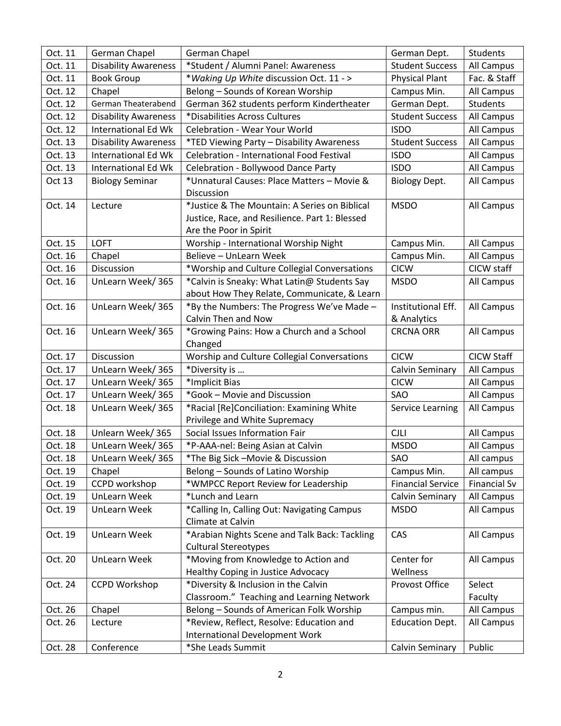| Oct. 11 | German Chapel               | German Chapel                                  | German Dept.             | Students            |
|---------|-----------------------------|------------------------------------------------|--------------------------|---------------------|
| Oct. 11 | <b>Disability Awareness</b> | *Student / Alumni Panel: Awareness             | <b>Student Success</b>   | All Campus          |
| Oct. 11 | <b>Book Group</b>           | *Waking Up White discussion Oct. 11 - >        | <b>Physical Plant</b>    | Fac. & Staff        |
| Oct. 12 | Chapel                      | Belong - Sounds of Korean Worship              | Campus Min.              | All Campus          |
| Oct. 12 | German Theaterabend         | German 362 students perform Kindertheater      | German Dept.             | Students            |
| Oct. 12 | <b>Disability Awareness</b> | *Disabilities Across Cultures                  | <b>Student Success</b>   | All Campus          |
| Oct. 12 | International Ed Wk         | <b>Celebration - Wear Your World</b>           | <b>ISDO</b>              | All Campus          |
| Oct. 13 | <b>Disability Awareness</b> | *TED Viewing Party - Disability Awareness      | <b>Student Success</b>   | All Campus          |
| Oct. 13 | <b>International Ed Wk</b>  | Celebration - International Food Festival      | <b>ISDO</b>              | All Campus          |
| Oct. 13 | <b>International Ed Wk</b>  | Celebration - Bollywood Dance Party            | <b>ISDO</b>              | All Campus          |
| Oct 13  | <b>Biology Seminar</b>      | *Unnatural Causes: Place Matters - Movie &     | Biology Dept.            | All Campus          |
|         |                             | <b>Discussion</b>                              |                          |                     |
| Oct. 14 | Lecture                     | *Justice & The Mountain: A Series on Biblical  | <b>MSDO</b>              | All Campus          |
|         |                             | Justice, Race, and Resilience. Part 1: Blessed |                          |                     |
|         |                             | Are the Poor in Spirit                         |                          |                     |
| Oct. 15 | <b>LOFT</b>                 | Worship - International Worship Night          | Campus Min.              | All Campus          |
| Oct. 16 | Chapel                      | Believe - UnLearn Week                         | Campus Min.              | All Campus          |
| Oct. 16 | Discussion                  | *Worship and Culture Collegial Conversations   | <b>CICW</b>              | CICW staff          |
| Oct. 16 | UnLearn Week/365            | *Calvin is Sneaky: What Latin@ Students Say    | <b>MSDO</b>              | All Campus          |
|         |                             | about How They Relate, Communicate, & Learn    |                          |                     |
| Oct. 16 | UnLearn Week/365            | *By the Numbers: The Progress We've Made -     | Institutional Eff.       | All Campus          |
|         |                             | Calvin Then and Now                            | & Analytics              |                     |
| Oct. 16 | UnLearn Week/365            | *Growing Pains: How a Church and a School      | <b>CRCNA ORR</b>         | All Campus          |
|         |                             | Changed                                        |                          |                     |
| Oct. 17 | Discussion                  | Worship and Culture Collegial Conversations    | <b>CICW</b>              | <b>CICW Staff</b>   |
| Oct. 17 | UnLearn Week/365            | *Diversity is                                  | Calvin Seminary          | All Campus          |
| Oct. 17 | UnLearn Week/365            | *Implicit Bias                                 | <b>CICW</b>              | All Campus          |
| Oct. 17 | UnLearn Week/365            | *Gook - Movie and Discussion                   | SAO                      | All Campus          |
| Oct. 18 | UnLearn Week/365            | *Racial [Re]Conciliation: Examining White      | Service Learning         | All Campus          |
|         |                             | Privilege and White Supremacy                  |                          |                     |
| Oct. 18 | Unlearn Week/365            | Social Issues Information Fair                 | <b>CJLI</b>              | All Campus          |
| Oct. 18 | UnLearn Week/365            | *P-AAA-nel: Being Asian at Calvin              | <b>MSDO</b>              | All Campus          |
| Oct. 18 | UnLearn Week/365            | *The Big Sick -Movie & Discussion              | SAO                      | All campus          |
| Oct. 19 | Chapel                      | Belong - Sounds of Latino Worship              | Campus Min.              | All campus          |
| Oct. 19 | CCPD workshop               | *WMPCC Report Review for Leadership            | <b>Financial Service</b> | <b>Financial Sv</b> |
| Oct. 19 | UnLearn Week                | *Lunch and Learn                               | Calvin Seminary          | All Campus          |
| Oct. 19 | UnLearn Week                | *Calling In, Calling Out: Navigating Campus    | <b>MSDO</b>              | All Campus          |
|         |                             | Climate at Calvin                              |                          |                     |
| Oct. 19 | <b>UnLearn Week</b>         | *Arabian Nights Scene and Talk Back: Tackling  | CAS                      | All Campus          |
|         |                             | <b>Cultural Stereotypes</b>                    |                          |                     |
| Oct. 20 | <b>UnLearn Week</b>         | *Moving from Knowledge to Action and           | Center for               | All Campus          |
|         |                             | Healthy Coping in Justice Advocacy             | Wellness                 |                     |
| Oct. 24 | <b>CCPD Workshop</b>        | *Diversity & Inclusion in the Calvin           | Provost Office           | Select              |
|         |                             | Classroom." Teaching and Learning Network      |                          | Faculty             |
| Oct. 26 | Chapel                      | Belong - Sounds of American Folk Worship       | Campus min.              | All Campus          |
| Oct. 26 | Lecture                     | *Review, Reflect, Resolve: Education and       | <b>Education Dept.</b>   | All Campus          |
| Oct. 28 | Conference                  | <b>International Development Work</b>          |                          |                     |
|         |                             | *She Leads Summit                              | Calvin Seminary          | Public              |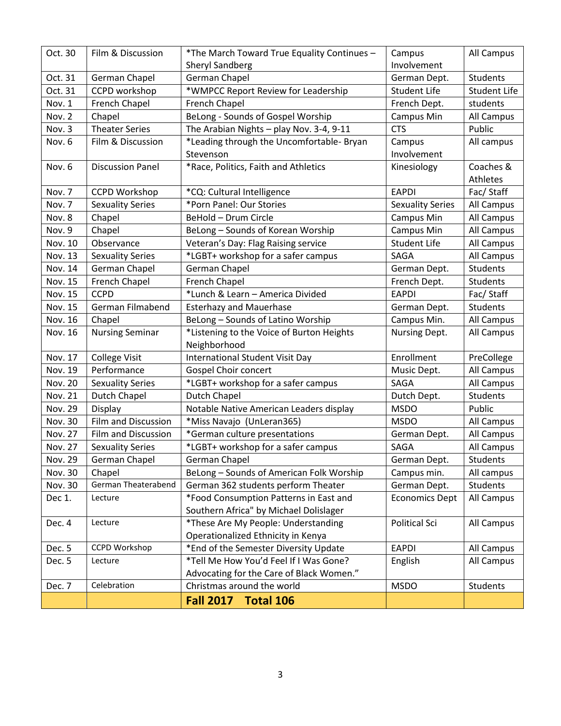| Oct. 30        | Film & Discussion          | *The March Toward True Equality Continues - | Campus                  | All Campus          |
|----------------|----------------------------|---------------------------------------------|-------------------------|---------------------|
|                |                            | <b>Sheryl Sandberg</b>                      | Involvement             |                     |
| Oct. 31        | German Chapel              | German Chapel                               | German Dept.            | Students            |
| Oct. 31        | CCPD workshop              | *WMPCC Report Review for Leadership         | <b>Student Life</b>     | <b>Student Life</b> |
| Nov. 1         | French Chapel              | French Chapel<br>French Dept.               |                         | students            |
| Nov. 2         | Chapel                     | BeLong - Sounds of Gospel Worship           | <b>Campus Min</b>       | All Campus          |
| Nov. 3         | <b>Theater Series</b>      | The Arabian Nights - play Nov. 3-4, 9-11    | <b>CTS</b>              | Public              |
| Nov. 6         | Film & Discussion          | *Leading through the Uncomfortable- Bryan   | Campus                  | All campus          |
|                |                            | Stevenson                                   | Involvement             |                     |
| Nov. 6         | <b>Discussion Panel</b>    | *Race, Politics, Faith and Athletics        | Kinesiology             | Coaches &           |
|                |                            |                                             |                         | Athletes            |
| Nov. 7         | <b>CCPD Workshop</b>       | *CQ: Cultural Intelligence                  | <b>EAPDI</b>            | Fac/Staff           |
| Nov. 7         | <b>Sexuality Series</b>    | *Porn Panel: Our Stories                    | <b>Sexuality Series</b> | All Campus          |
| Nov. 8         | Chapel                     | BeHold - Drum Circle                        | Campus Min              | All Campus          |
| Nov. 9         | Chapel                     | BeLong - Sounds of Korean Worship           | Campus Min              | All Campus          |
| Nov. 10        | Observance                 | Veteran's Day: Flag Raising service         | <b>Student Life</b>     | All Campus          |
| Nov. 13        | <b>Sexuality Series</b>    | *LGBT+ workshop for a safer campus          | SAGA                    | All Campus          |
| Nov. 14        | German Chapel              | German Chapel                               | German Dept.            | <b>Students</b>     |
| Nov. 15        | French Chapel              | French Chapel                               | French Dept.            | Students            |
| Nov. 15        | <b>CCPD</b>                | *Lunch & Learn - America Divided            | <b>EAPDI</b>            | Fac/Staff           |
| Nov. 15        | German Filmabend           | <b>Esterhazy and Mauerhase</b>              | German Dept.            | <b>Students</b>     |
| Nov. 16        | Chapel                     | BeLong - Sounds of Latino Worship           | Campus Min.             | All Campus          |
| Nov. 16        | <b>Nursing Seminar</b>     | *Listening to the Voice of Burton Heights   | Nursing Dept.           | All Campus          |
|                |                            | Neighborhood                                |                         |                     |
| Nov. 17        | <b>College Visit</b>       | <b>International Student Visit Day</b>      | Enrollment              | PreCollege          |
| Nov. 19        | Performance                | <b>Gospel Choir concert</b>                 | Music Dept.             | All Campus          |
| <b>Nov. 20</b> | <b>Sexuality Series</b>    | *LGBT+ workshop for a safer campus          | SAGA                    | All Campus          |
| Nov. 21        | <b>Dutch Chapel</b>        | Dutch Chapel                                | Dutch Dept.             | Students            |
| Nov. 29        | Display                    | Notable Native American Leaders display     | <b>MSDO</b>             | Public              |
| Nov. 30        | <b>Film and Discussion</b> | *Miss Navajo (UnLeran365)                   | <b>MSDO</b>             | All Campus          |
| Nov. 27        | Film and Discussion        | *German culture presentations               | German Dept.            | All Campus          |
| Nov. 27        | <b>Sexuality Series</b>    | *LGBT+ workshop for a safer campus          | SAGA                    | All Campus          |
| Nov. 29        | German Chapel              | German Chapel                               | German Dept.            | <b>Students</b>     |
| Nov. 30        | Chapel                     | BeLong - Sounds of American Folk Worship    | Campus min.             | All campus          |
| Nov. 30        | German Theaterabend        | German 362 students perform Theater         | German Dept.            | Students            |
| Dec 1.         | Lecture                    | *Food Consumption Patterns in East and      | <b>Economics Dept</b>   | All Campus          |
|                |                            | Southern Africa" by Michael Dolislager      |                         |                     |
| Dec. 4         | Lecture                    | *These Are My People: Understanding         | Political Sci           | All Campus          |
|                |                            | Operationalized Ethnicity in Kenya          |                         |                     |
| Dec. 5         | <b>CCPD Workshop</b>       | *End of the Semester Diversity Update       | <b>EAPDI</b>            | All Campus          |
| Dec. 5         | Lecture                    | *Tell Me How You'd Feel If I Was Gone?      | English                 | All Campus          |
|                |                            | Advocating for the Care of Black Women."    |                         |                     |
| Dec. 7         | Celebration                | Christmas around the world                  | <b>MSDO</b>             | Students            |
|                |                            | <b>Fall 2017</b><br><b>Total 106</b>        |                         |                     |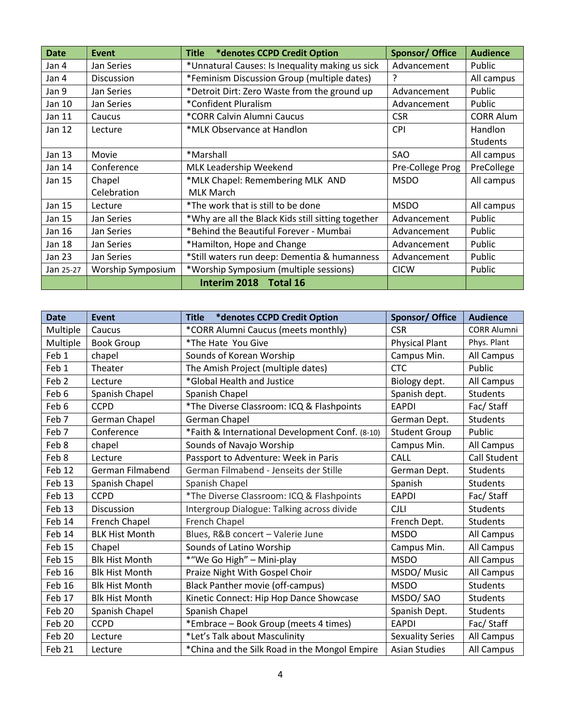| <b>Date</b> | Event             | *denotes CCPD Credit Option<br>Title               | <b>Sponsor/ Office</b> | <b>Audience</b>  |
|-------------|-------------------|----------------------------------------------------|------------------------|------------------|
| Jan 4       | Jan Series        | *Unnatural Causes: Is Inequality making us sick    | Advancement            | Public           |
| Jan 4       | <b>Discussion</b> | *Feminism Discussion Group (multiple dates)        | ?                      | All campus       |
| Jan 9       | Jan Series        | *Detroit Dirt: Zero Waste from the ground up       | Advancement            | Public           |
| Jan 10      | Jan Series        | *Confident Pluralism                               | Advancement            | Public           |
| Jan 11      | Caucus            | *CORR Calvin Alumni Caucus                         | <b>CSR</b>             | <b>CORR Alum</b> |
| Jan 12      | Lecture           | *MLK Observance at Handlon                         | <b>CPI</b>             | Handlon          |
|             |                   |                                                    |                        | <b>Students</b>  |
| Jan 13      | Movie             | *Marshall                                          | SAO                    | All campus       |
| Jan 14      | Conference        | MLK Leadership Weekend                             | Pre-College Prog       | PreCollege       |
| Jan 15      | Chapel            | *MLK Chapel: Remembering MLK AND                   | <b>MSDO</b>            | All campus       |
|             | Celebration       | <b>MLK March</b>                                   |                        |                  |
| Jan 15      | Lecture           | *The work that is still to be done                 | <b>MSDO</b>            | All campus       |
| Jan 15      | Jan Series        | *Why are all the Black Kids still sitting together | Advancement            | Public           |
| Jan 16      | Jan Series        | *Behind the Beautiful Forever - Mumbai             | Advancement            | Public           |
| Jan 18      | Jan Series        | *Hamilton, Hope and Change                         | Advancement            | Public           |
| Jan 23      | Jan Series        | *Still waters run deep: Dementia & humanness       | Advancement            | Public           |
| Jan 25-27   | Worship Symposium | *Worship Symposium (multiple sessions)             | <b>CICW</b>            | Public           |
|             |                   | Interim 2018 Total 16                              |                        |                  |

| <b>Date</b>      | <b>Event</b>          | *denotes CCPD Credit Option<br><b>Title</b>     | <b>Sponsor/ Office</b>  | <b>Audience</b>     |
|------------------|-----------------------|-------------------------------------------------|-------------------------|---------------------|
| Multiple         | Caucus                | *CORR Alumni Caucus (meets monthly)             | <b>CSR</b>              | <b>CORR Alumni</b>  |
| Multiple         | <b>Book Group</b>     | *The Hate You Give                              | <b>Physical Plant</b>   | Phys. Plant         |
| Feb 1            | chapel                | Sounds of Korean Worship                        | Campus Min.             | All Campus          |
| Feb 1            | Theater               | The Amish Project (multiple dates)              | <b>CTC</b>              | Public              |
| Feb <sub>2</sub> | Lecture               | *Global Health and Justice                      | Biology dept.           | All Campus          |
| Feb 6            | Spanish Chapel        | Spanish Chapel                                  | Spanish dept.           | <b>Students</b>     |
| Feb 6            | <b>CCPD</b>           | *The Diverse Classroom: ICQ & Flashpoints       | <b>EAPDI</b>            | Fac/Staff           |
| Feb 7            | German Chapel         | German Chapel                                   | German Dept.            | <b>Students</b>     |
| Feb 7            | Conference            | *Faith & International Development Conf. (8-10) | <b>Student Group</b>    | Public              |
| Feb 8            | chapel                | Sounds of Navajo Worship                        | Campus Min.             | All Campus          |
| Feb 8            | Lecture               | Passport to Adventure: Week in Paris            | CALL                    | <b>Call Student</b> |
| Feb 12           | German Filmabend      | German Filmabend - Jenseits der Stille          | German Dept.            | <b>Students</b>     |
| Feb 13           | Spanish Chapel        | Spanish Chapel                                  | Spanish                 | <b>Students</b>     |
| Feb 13           | <b>CCPD</b>           | *The Diverse Classroom: ICQ & Flashpoints       | <b>EAPDI</b>            | Fac/Staff           |
| Feb 13           | Discussion            | Intergroup Dialogue: Talking across divide      | <b>CJLI</b>             | <b>Students</b>     |
| Feb 14           | French Chapel         | French Chapel                                   | French Dept.            | <b>Students</b>     |
| Feb 14           | <b>BLK Hist Month</b> | Blues, R&B concert - Valerie June               | <b>MSDO</b>             | All Campus          |
| Feb 15           | Chapel                | Sounds of Latino Worship                        | Campus Min.             | All Campus          |
| Feb 15           | <b>Blk Hist Month</b> | *"We Go High" - Mini-play                       | <b>MSDO</b>             | All Campus          |
| Feb 16           | <b>Blk Hist Month</b> | Praize Night With Gospel Choir                  | MSDO/ Music             | All Campus          |
| Feb 16           | <b>Blk Hist Month</b> | <b>Black Panther movie (off-campus)</b>         | <b>MSDO</b>             | <b>Students</b>     |
| Feb 17           | <b>Blk Hist Month</b> | Kinetic Connect: Hip Hop Dance Showcase         | MSDO/SAO                | <b>Students</b>     |
| Feb 20           | Spanish Chapel        | Spanish Chapel                                  | Spanish Dept.           | <b>Students</b>     |
| Feb 20           | <b>CCPD</b>           | *Embrace - Book Group (meets 4 times)           | <b>EAPDI</b>            | Fac/Staff           |
| Feb 20           | Lecture               | *Let's Talk about Masculinity                   | <b>Sexuality Series</b> | All Campus          |
| Feb 21           | Lecture               | *China and the Silk Road in the Mongol Empire   | <b>Asian Studies</b>    | All Campus          |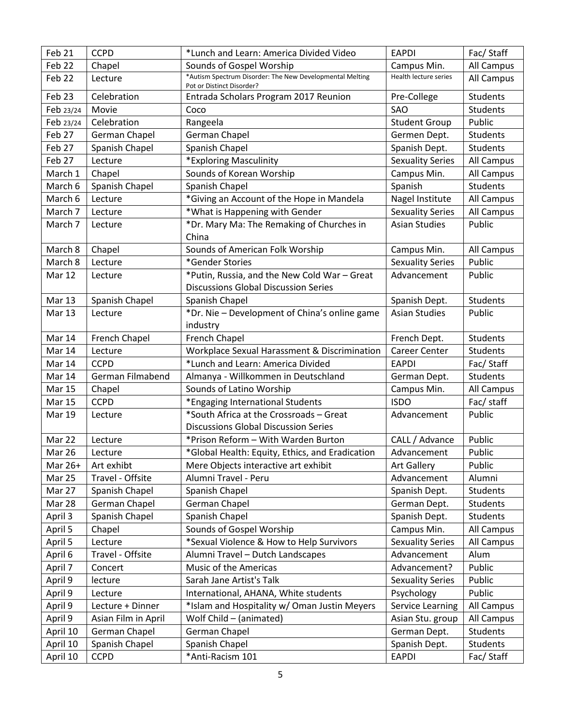| Feb 21        | <b>CCPD</b>         | *Lunch and Learn: America Divided Video                                               | <b>EAPDI</b>            | Fac/Staff       |
|---------------|---------------------|---------------------------------------------------------------------------------------|-------------------------|-----------------|
| Feb 22        | Chapel              | Sounds of Gospel Worship                                                              | Campus Min.             | All Campus      |
| Feb 22        | Lecture             | *Autism Spectrum Disorder: The New Developmental Melting<br>Pot or Distinct Disorder? | Health lecture series   | All Campus      |
| Feb 23        | Celebration         | Entrada Scholars Program 2017 Reunion                                                 | Pre-College             | Students        |
| Feb 23/24     | Movie               | Coco                                                                                  | SAO                     | <b>Students</b> |
| Feb 23/24     | Celebration         | Rangeela                                                                              | <b>Student Group</b>    | Public          |
| Feb 27        | German Chapel       | German Chapel                                                                         | Germen Dept.            | <b>Students</b> |
| Feb 27        | Spanish Chapel      | Spanish Chapel                                                                        | Spanish Dept.           | <b>Students</b> |
| Feb 27        | Lecture             | *Exploring Masculinity                                                                | <b>Sexuality Series</b> | All Campus      |
| March 1       | Chapel              | Sounds of Korean Worship                                                              | Campus Min.             | All Campus      |
| March 6       | Spanish Chapel      | Spanish Chapel                                                                        | Spanish                 | Students        |
| March 6       | Lecture             | *Giving an Account of the Hope in Mandela                                             | Nagel Institute         | All Campus      |
| March 7       | Lecture             | *What is Happening with Gender                                                        | <b>Sexuality Series</b> | All Campus      |
| March 7       | Lecture             | *Dr. Mary Ma: The Remaking of Churches in                                             | <b>Asian Studies</b>    | Public          |
|               |                     | China                                                                                 |                         |                 |
| March 8       | Chapel              | Sounds of American Folk Worship                                                       | Campus Min.             | All Campus      |
| March 8       | Lecture             | *Gender Stories                                                                       | <b>Sexuality Series</b> | Public          |
| Mar 12        | Lecture             | *Putin, Russia, and the New Cold War - Great                                          | Advancement             | Public          |
|               |                     | <b>Discussions Global Discussion Series</b>                                           |                         |                 |
| Mar 13        | Spanish Chapel      | Spanish Chapel                                                                        | Spanish Dept.           | Students        |
| Mar 13        | Lecture             | *Dr. Nie - Development of China's online game                                         | <b>Asian Studies</b>    | Public          |
|               |                     | industry                                                                              |                         |                 |
| Mar 14        | French Chapel       | French Chapel                                                                         | French Dept.            | Students        |
| Mar 14        | Lecture             | Workplace Sexual Harassment & Discrimination                                          | <b>Career Center</b>    | Students        |
| Mar 14        | <b>CCPD</b>         | *Lunch and Learn: America Divided                                                     | <b>EAPDI</b>            | Fac/Staff       |
| Mar 14        | German Filmabend    | Almanya - Willkommen in Deutschland                                                   | German Dept.            | Students        |
| <b>Mar 15</b> | Chapel              | Sounds of Latino Worship                                                              | Campus Min.             | All Campus      |
| <b>Mar 15</b> | <b>CCPD</b>         | *Engaging International Students                                                      | <b>ISDO</b>             | Fac/ staff      |
| <b>Mar 19</b> | Lecture             | *South Africa at the Crossroads - Great                                               | Advancement             | Public          |
|               |                     | <b>Discussions Global Discussion Series</b>                                           |                         |                 |
| Mar 22        | Lecture             | *Prison Reform - With Warden Burton                                                   | CALL / Advance          | Public          |
| Mar 26        | Lecture             | *Global Health: Equity, Ethics, and Eradication                                       | Advancement             | Public          |
| Mar 26+       | Art exhibt          | Mere Objects interactive art exhibit                                                  | <b>Art Gallery</b>      | Public          |
| Mar 25        | Travel - Offsite    | Alumni Travel - Peru                                                                  | Advancement             | Alumni          |
| Mar 27        | Spanish Chapel      | Spanish Chapel                                                                        | Spanish Dept.           | Students        |
| Mar 28        | German Chapel       | German Chapel                                                                         | German Dept.            | Students        |
| April 3       | Spanish Chapel      | Spanish Chapel                                                                        | Spanish Dept.           | Students        |
| April 5       | Chapel              | Sounds of Gospel Worship                                                              | Campus Min.             | All Campus      |
| April 5       | Lecture             | *Sexual Violence & How to Help Survivors                                              | <b>Sexuality Series</b> | All Campus      |
| April 6       | Travel - Offsite    | Alumni Travel - Dutch Landscapes                                                      | Advancement             | Alum            |
| April 7       | Concert             | Music of the Americas                                                                 | Advancement?            | Public          |
| April 9       | lecture             | Sarah Jane Artist's Talk                                                              | <b>Sexuality Series</b> | Public          |
| April 9       | Lecture             | International, AHANA, White students                                                  | Psychology              | Public          |
| April 9       | Lecture + Dinner    | *Islam and Hospitality w/ Oman Justin Meyers                                          | <b>Service Learning</b> | All Campus      |
| April 9       | Asian Film in April | Wolf Child - (animated)                                                               | Asian Stu. group        | All Campus      |
| April 10      | German Chapel       | German Chapel                                                                         | German Dept.            | Students        |
| April 10      | Spanish Chapel      | Spanish Chapel                                                                        | Spanish Dept.           | Students        |
| April 10      | <b>CCPD</b>         | *Anti-Racism 101                                                                      | <b>EAPDI</b>            | Fac/Staff       |